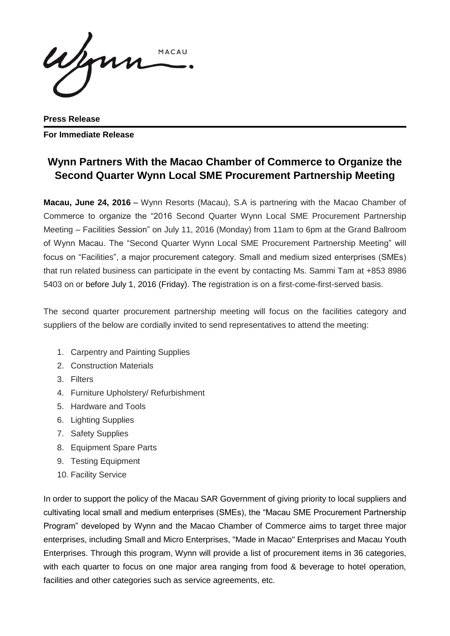ujmn MACAU

**Press Release For Immediate Release**

## **Wynn Partners With the Macao Chamber of Commerce to Organize the Second Quarter Wynn Local SME Procurement Partnership Meeting**

**Macau, June 24, 2016** – Wynn Resorts (Macau), S.A is partnering with the Macao Chamber of Commerce to organize the "2016 Second Quarter Wynn Local SME Procurement Partnership Meeting – Facilities Session" on July 11, 2016 (Monday) from 11am to 6pm at the Grand Ballroom of Wynn Macau. The "Second Quarter Wynn Local SME Procurement Partnership Meeting" will focus on "Facilities", a major procurement category. Small and medium sized enterprises (SMEs) that run related business can participate in the event by contacting Ms. Sammi Tam at +853 8986 5403 on or before July 1, 2016 (Friday). The registration is on a first-come-first-served basis.

The second quarter procurement partnership meeting will focus on the facilities category and suppliers of the below are cordially invited to send representatives to attend the meeting:

- 1. Carpentry and Painting Supplies
- 2. Construction Materials
- 3. Filters
- 4. Furniture Upholstery/ Refurbishment
- 5. Hardware and Tools
- 6. Lighting Supplies
- 7. Safety Supplies
- 8. Equipment Spare Parts
- 9. Testing Equipment
- 10. Facility Service

In order to support the policy of the Macau SAR Government of giving priority to local suppliers and cultivating local small and medium enterprises (SMEs), the "Macau SME Procurement Partnership Program" developed by Wynn and the Macao Chamber of Commerce aims to target three major enterprises, including Small and Micro Enterprises, "Made in Macao" Enterprises and Macau Youth Enterprises. Through this program, Wynn will provide a list of procurement items in 36 categories, with each quarter to focus on one major area ranging from food & beverage to hotel operation, facilities and other categories such as service agreements, etc.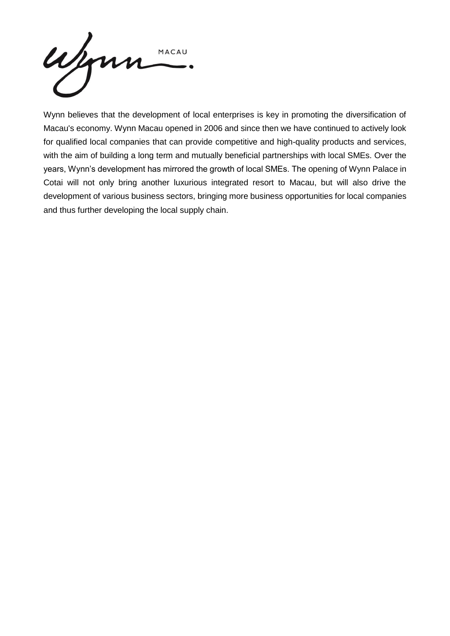

Wynn believes that the development of local enterprises is key in promoting the diversification of Macau's economy. Wynn Macau opened in 2006 and since then we have continued to actively look for qualified local companies that can provide competitive and high-quality products and services, with the aim of building a long term and mutually beneficial partnerships with local SMEs. Over the years, Wynn's development has mirrored the growth of local SMEs. The opening of Wynn Palace in Cotai will not only bring another luxurious integrated resort to Macau, but will also drive the development of various business sectors, bringing more business opportunities for local companies and thus further developing the local supply chain.